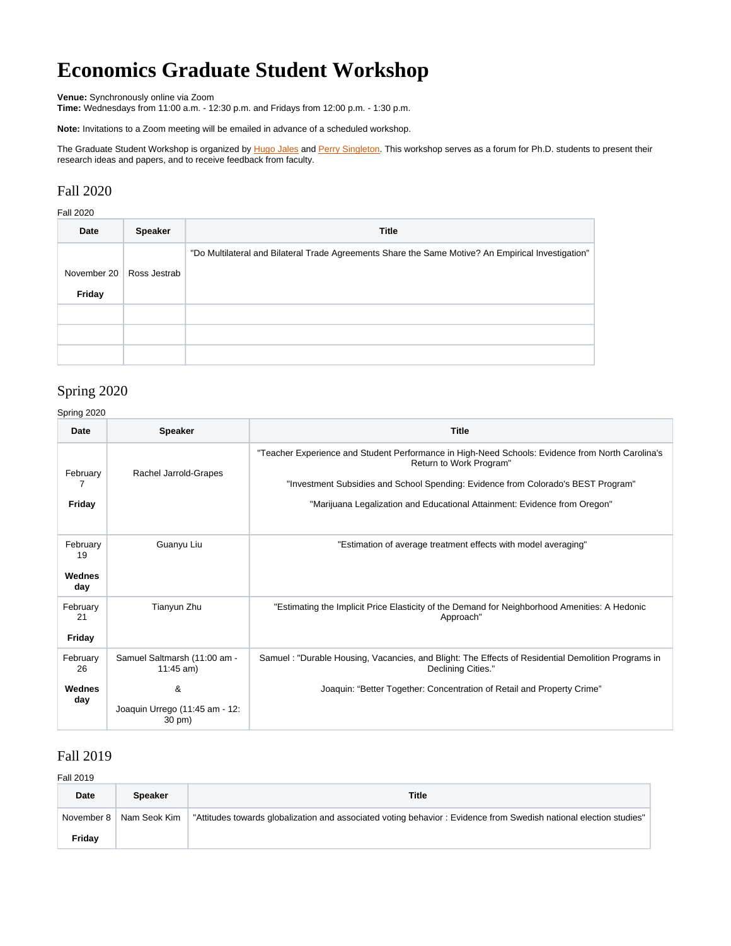# **Economics Graduate Student Workshop**

**Venue:** Synchronously online via Zoom

**Time:** Wednesdays from 11:00 a.m. - 12:30 p.m. and Fridays from 12:00 p.m. - 1:30 p.m.

**Note:** Invitations to a Zoom meeting will be emailed in advance of a scheduled workshop.

The Graduate Student Workshop is organized by [Hugo Jales](https://www.maxwell.syr.edu/econ/cpr/Jales,_Hugo/) and [Perry Singleton](https://www.maxwell.syr.edu/econ/cpr/Singleton,_Perry/). This workshop serves as a forum for Ph.D. students to present their research ideas and papers, and to receive feedback from faculty.

### Fall 2020

Fall 2020

| Date        | <b>Speaker</b> | <b>Title</b>                                                                                       |
|-------------|----------------|----------------------------------------------------------------------------------------------------|
|             |                | "Do Multilateral and Bilateral Trade Agreements Share the Same Motive? An Empirical Investigation" |
| November 20 | Ross Jestrab   |                                                                                                    |
| Friday      |                |                                                                                                    |
|             |                |                                                                                                    |
|             |                |                                                                                                    |
|             |                |                                                                                                    |

## Spring 2020

Spring 2020

| Date                            | <b>Speaker</b>                                | <b>Title</b>                                                                                                                                                                                                                                                                                  |
|---------------------------------|-----------------------------------------------|-----------------------------------------------------------------------------------------------------------------------------------------------------------------------------------------------------------------------------------------------------------------------------------------------|
| February<br>Friday              | Rachel Jarrold-Grapes                         | "Teacher Experience and Student Performance in High-Need Schools: Evidence from North Carolina's<br>Return to Work Program"<br>"Investment Subsidies and School Spending: Evidence from Colorado's BEST Program"<br>"Marijuana Legalization and Educational Attainment: Evidence from Oregon" |
| February<br>19<br>Wednes<br>day | Guanyu Liu                                    | "Estimation of average treatment effects with model averaging"                                                                                                                                                                                                                                |
| February<br>21<br>Friday        | Tianyun Zhu                                   | "Estimating the Implicit Price Elasticity of the Demand for Neighborhood Amenities: A Hedonic<br>Approach"                                                                                                                                                                                    |
| February<br>26                  | Samuel Saltmarsh (11:00 am -<br>$11:45$ am)   | Samuel: "Durable Housing, Vacancies, and Blight: The Effects of Residential Demolition Programs in<br>Declining Cities."                                                                                                                                                                      |
| Wednes<br>day                   | &<br>Joaquin Urrego (11:45 am - 12:<br>30 pm) | Joaquin: "Better Together: Concentration of Retail and Property Crime"                                                                                                                                                                                                                        |

## Fall 2019

#### Fall 2019

| Date   | <b>Speaker</b>            | <b>Title</b>                                                                                                       |
|--------|---------------------------|--------------------------------------------------------------------------------------------------------------------|
|        | November 8   Nam Seok Kim | "Attitudes towards globalization and associated voting behavior : Evidence from Swedish national election studies" |
| Fridav |                           |                                                                                                                    |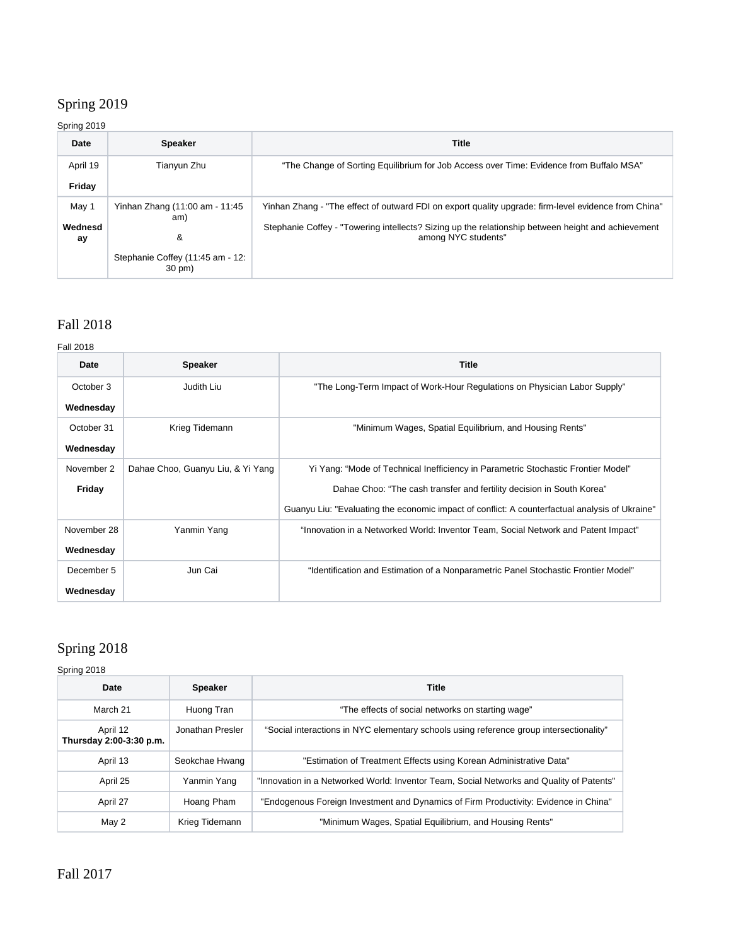## Spring 2019

### Spring 2019

| Date          | <b>Speaker</b>                             | Title                                                                                                                     |
|---------------|--------------------------------------------|---------------------------------------------------------------------------------------------------------------------------|
| April 19      | Tianyun Zhu                                | "The Change of Sorting Equilibrium for Job Access over Time: Evidence from Buffalo MSA"                                   |
| Friday        |                                            |                                                                                                                           |
| May 1         | Yinhan Zhang (11:00 am - 11:45             | Yinhan Zhang - "The effect of outward FDI on export quality upgrade: firm-level evidence from China"                      |
| Wednesd<br>аy | am)<br>&                                   | Stephanie Coffey - "Towering intellects? Sizing up the relationship between height and achievement<br>among NYC students" |
|               | Stephanie Coffey (11:45 am - 12:<br>30 pm) |                                                                                                                           |

# Fall 2018

#### Fall 2018

| Date        | <b>Speaker</b>                    | <b>Title</b>                                                                                   |
|-------------|-----------------------------------|------------------------------------------------------------------------------------------------|
| October 3   | Judith Liu                        | "The Long-Term Impact of Work-Hour Regulations on Physician Labor Supply"                      |
| Wednesday   |                                   |                                                                                                |
| October 31  | Krieg Tidemann                    | "Minimum Wages, Spatial Equilibrium, and Housing Rents"                                        |
| Wednesday   |                                   |                                                                                                |
| November 2  | Dahae Choo, Guanyu Liu, & Yi Yang | Yi Yang: "Mode of Technical Inefficiency in Parametric Stochastic Frontier Model"              |
| Friday      |                                   | Dahae Choo: "The cash transfer and fertility decision in South Korea"                          |
|             |                                   | Guanyu Liu: "Evaluating the economic impact of conflict: A counterfactual analysis of Ukraine" |
| November 28 | Yanmin Yang                       | "Innovation in a Networked World: Inventor Team, Social Network and Patent Impact"             |
| Wednesday   |                                   |                                                                                                |
| December 5  | Jun Cai                           | "Identification and Estimation of a Nonparametric Panel Stochastic Frontier Model"             |
| Wednesday   |                                   |                                                                                                |

# Spring 2018

#### Spring 2018

| Date                                | <b>Speaker</b>   | <b>Title</b>                                                                             |
|-------------------------------------|------------------|------------------------------------------------------------------------------------------|
| March 21                            | Huong Tran       | "The effects of social networks on starting wage"                                        |
| April 12<br>Thursday 2:00-3:30 p.m. | Jonathan Presler | "Social interactions in NYC elementary schools using reference group intersectionality"  |
| April 13                            | Seokchae Hwang   | "Estimation of Treatment Effects using Korean Administrative Data"                       |
| April 25                            | Yanmin Yang      | "Innovation in a Networked World: Inventor Team, Social Networks and Quality of Patents" |
| April 27                            | Hoang Pham       | "Endogenous Foreign Investment and Dynamics of Firm Productivity: Evidence in China"     |
| May 2                               | Krieg Tidemann   | "Minimum Wages, Spatial Equilibrium, and Housing Rents"                                  |